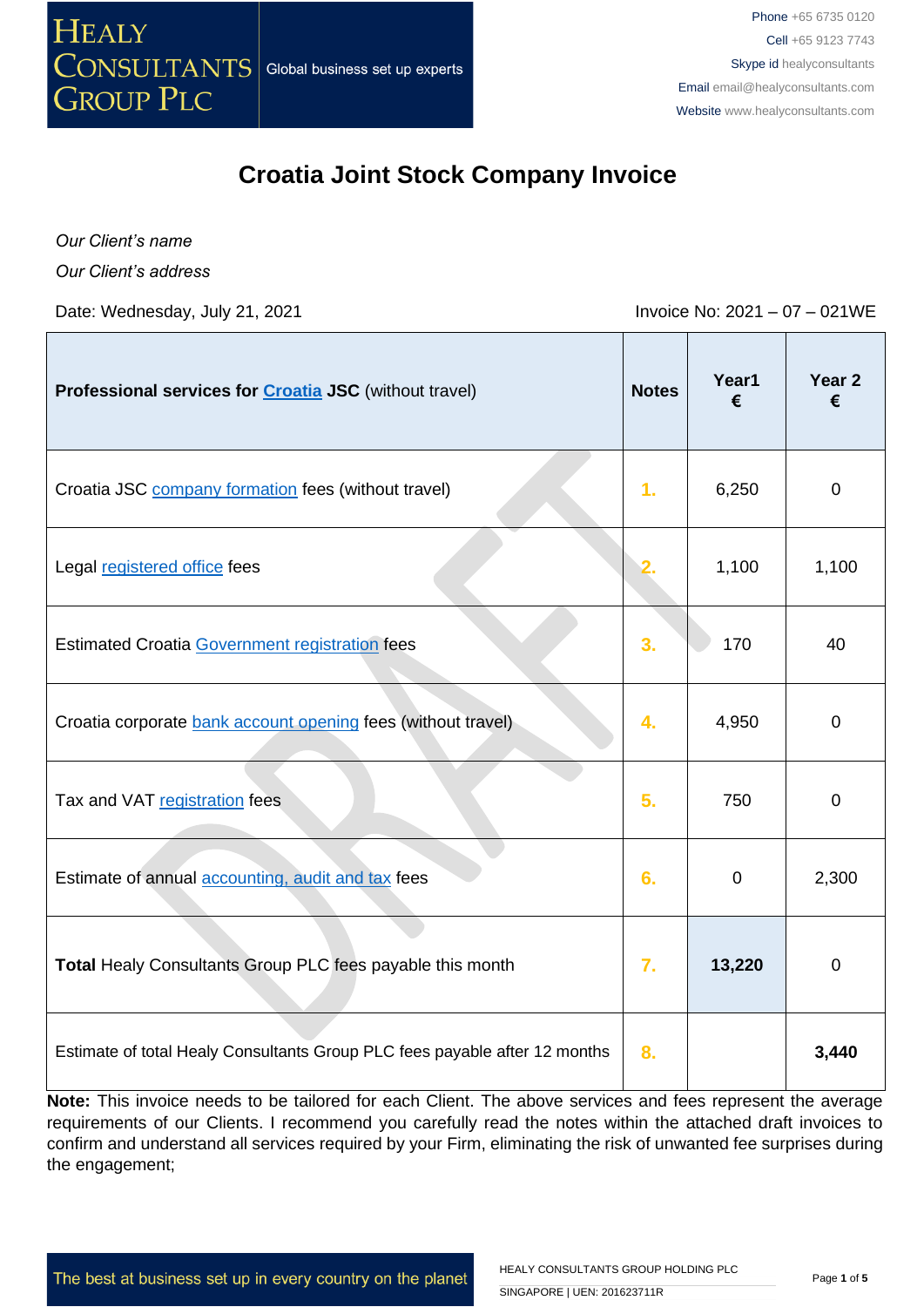

*Our Client's name*

*Our Client's address*

Date: Wednesday, July 21, 2021 **Invoice No: 2021** - 07 - 021WE

| Professional services for <b>Croatia JSC</b> (without travel)              | <b>Notes</b>   | Year1<br>€  | Year <sub>2</sub><br>€ |
|----------------------------------------------------------------------------|----------------|-------------|------------------------|
| Croatia JSC <b>company formation</b> fees (without travel)                 | 1 <sub>1</sub> | 6,250       | $\overline{0}$         |
| Legal registered office fees                                               |                | 1,100       | 1,100                  |
| Estimated Croatia Government registration fees                             | 3.             | 170         | 40                     |
| Croatia corporate bank account opening fees (without travel)               | 4.             | 4,950       | $\mathbf 0$            |
| Tax and VAT registration fees                                              | 5.             | 750         | $\mathbf 0$            |
| Estimate of annual accounting, audit and tax fees                          | 6.             | $\mathbf 0$ | 2,300                  |
| Total Healy Consultants Group PLC fees payable this month                  | 7.             | 13,220      | $\mathbf 0$            |
| Estimate of total Healy Consultants Group PLC fees payable after 12 months | 8.             |             | 3,440                  |

**Note:** This invoice needs to be tailored for each Client. The above services and fees represent the average requirements of our Clients. I recommend you carefully read the notes within the attached draft invoices to confirm and understand all services required by your Firm, eliminating the risk of unwanted fee surprises during the engagement;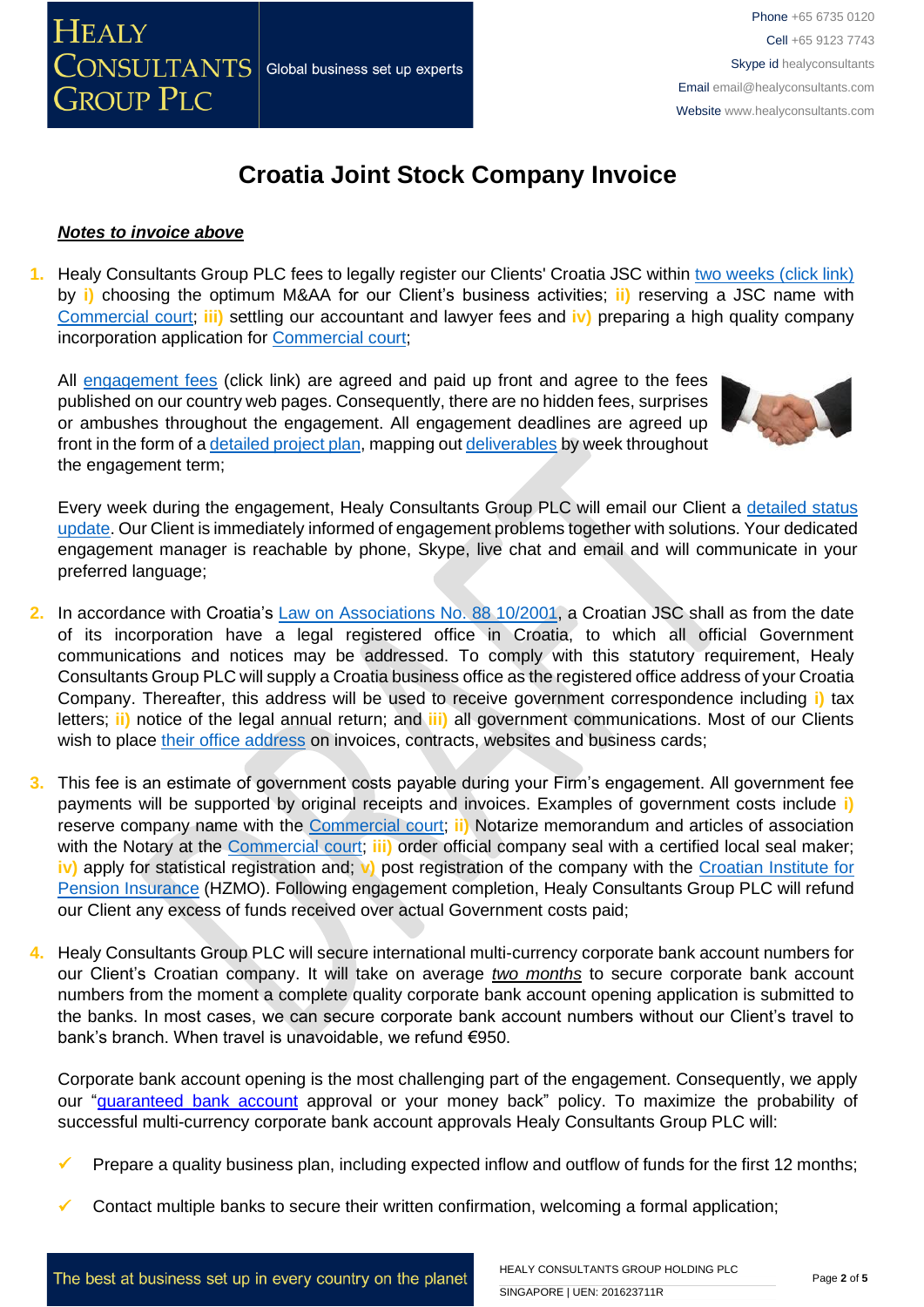#### *Notes to invoice above*

1. Healy Consultants Group PLC fees to legally register our Clients' Croatia JSC within [two weeks \(click link\)](http://www.healyconsultants.com/croatia-company-registration/fees-timelines/#timelines) by **i)** choosing the optimum M&AA for our Client's business activities; **ii)** reserving a JSC name with [Commercial court;](http://www.vsrh.hr/EasyWeb.asp?pcpid=282) **iii)** settling our accountant and lawyer fees and **iv)** preparing a high quality company incorporation application for [Commercial](http://www.vsrh.hr/EasyWeb.asp?pcpid=282) court;

All [engagement fees](http://www.healyconsultants.com/company-registration-fees/) (click link) are agreed and paid up front and agree to the fees published on our country web pages. Consequently, there are no hidden fees, surprises or ambushes throughout the engagement. All engagement deadlines are agreed up front in the form of a [detailed project plan,](http://www.healyconsultants.com/index-important-links/example-project-plan/) mapping out [deliverables](http://www.healyconsultants.com/deliverables-to-our-clients/) by week throughout the engagement term;



Every week during the engagement, Healy Consultants Group PLC will email our Client a [detailed status](http://www.healyconsultants.com/index-important-links/weekly-engagement-status-email/)  [update.](http://www.healyconsultants.com/index-important-links/weekly-engagement-status-email/) Our Client is immediately informed of engagement problems together with solutions. Your dedicated engagement manager is reachable by phone, Skype, live chat and email and will communicate in your preferred language;

- **2.** In accordance with Croatia's [Law on Associations No. 88 10/2001,](http://www.legislationline.org/documents/action/popup/id/5882) a Croatian JSC shall as from the date of its incorporation have a legal registered office in Croatia, to which all official Government communications and notices may be addressed. To comply with this statutory requirement, Healy Consultants Group PLC will supply a Croatia business office as the registered office address of your Croatia Company. Thereafter, this address will be used to receive government correspondence including **i)** tax letters; **ii)** notice of the legal annual return; and **iii)** all government communications. Most of our Clients wish to place their [office address](http://www.healyconsultants.com/corporate-outsourcing-services/company-secretary-and-legal-registered-office/) on invoices, contracts, websites and business cards;
- **3.** This fee is an estimate of government costs payable during your Firm's engagement. All government fee payments will be supported by original receipts and invoices. Examples of government costs include **i)**  reserve company name with the [Commercial court;](http://www.vsrh.hr/EasyWeb.asp?pcpid=282) **ii)** Notarize memorandum and articles of association with the Notary at the [Commercial court;](http://www.vsrh.hr/EasyWeb.asp?pcpid=282) **iii)** order official company seal with a certified local seal maker; **iv)** apply for statistical registration and; **v)** post registration of the company with the [Croatian Institute for](http://www.mirovinsko.hr/)  [Pension Insurance](http://www.mirovinsko.hr/) (HZMO). Following engagement completion, Healy Consultants Group PLC will refund our Client any excess of funds received over actual Government costs paid;
- **4.** Healy Consultants Group PLC will secure international multi-currency corporate bank account numbers for our Client's Croatian company. It will take on average *two months* to secure corporate bank account numbers from the moment a complete quality corporate bank account opening application is submitted to the banks. In most cases, we can secure corporate bank account numbers without our Client's travel to bank's branch. When travel is unavoidable, we refund €950.

Corporate bank account opening is the most challenging part of the engagement. Consequently, we apply our ["guaranteed bank account](https://www.healyconsultants.com/corporate-banking-services/guaranteed-corporate-bank-account-approvals/) approval or your money back" policy. To maximize the probability of successful multi-currency corporate bank account approvals Healy Consultants Group PLC will:

- Prepare a quality business plan, including expected inflow and outflow of funds for the first 12 months;
- Contact multiple banks to secure their written confirmation, welcoming a formal application;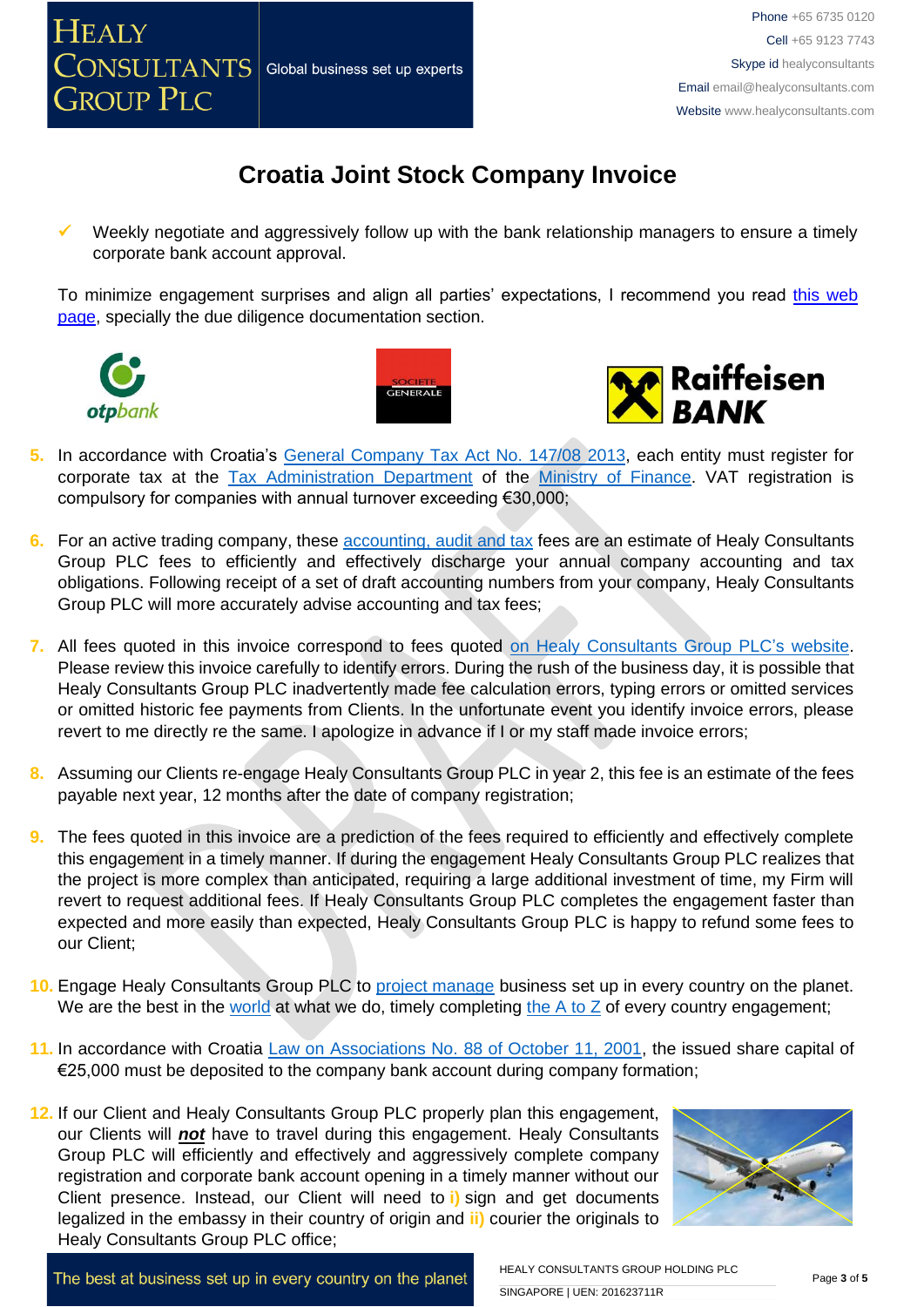

Weekly negotiate and aggressively follow up with the bank relationship managers to ensure a timely corporate bank account approval.

To minimize engagement surprises and align all parties' expectations, I recommend you read this web [page,](https://www.healyconsultants.com/multi-currency-corporate-bank-account/) specially the due diligence documentation section.







- **5.** In accordance with Croatia's [General Company Tax Act No. 147/08 2013,](http://www.porezna-uprava.hr/en_propisi/_layouts/in2.vuk.sp.propisi.intranet/propisi.aspx#id=pro117) each entity must register for corporate tax at the [Tax Administration Department](http://www.porezna-uprava.hr/Stranice/Naslovnica.aspx) of the [Ministry of Finance.](http://www.mfin.hr/en) VAT registration is compulsory for companies with annual turnover exceeding €30,000;
- **6.** For an active trading company, these [accounting, audit](http://www.healyconsultants.com/croatia-company-registration/accounting-legal/) and tax fees are an estimate of Healy Consultants Group PLC fees to efficiently and effectively discharge your annual company accounting and tax obligations. Following receipt of a set of draft accounting numbers from your company, Healy Consultants Group PLC will more accurately advise accounting and tax fees;
- **7.** All fees quoted in this invoice correspond to fees quoted [on Healy Consultants Group PLC's website.](http://www.healyconsultants.com/company-registration-fees/) Please review this invoice carefully to identify errors. During the rush of the business day, it is possible that Healy Consultants Group PLC inadvertently made fee calculation errors, typing errors or omitted services or omitted historic fee payments from Clients. In the unfortunate event you identify invoice errors, please revert to me directly re the same. I apologize in advance if I or my staff made invoice errors;
- **8.** Assuming our Clients re-engage Healy Consultants Group PLC in year 2, this fee is an estimate of the fees payable next year, 12 months after the date of company registration;
- **9.** The fees quoted in this invoice are a prediction of the fees required to efficiently and effectively complete this engagement in a timely manner. If during the engagement Healy Consultants Group PLC realizes that the project is more complex than anticipated, requiring a large additional investment of time, my Firm will revert to request additional fees. If Healy Consultants Group PLC completes the engagement faster than expected and more easily than expected, Healy Consultants Group PLC is happy to refund some fees to our Client;
- **10.** Engage Healy Consultants Group PLC to [project manage](http://www.healyconsultants.com/project-manage-engagements/) business set up in every country on the planet. We are the best in the [world](http://www.healyconsultants.com/best-in-the-world/) at what we do, timely completing the  $A$  to  $Z$  of every country engagement;
- **11.** In accordance with Croatia [Law on Associations No. 88 of October 11, 2001,](http://www.legislationline.org/documents/action/popup/id/5882) the issued share capital of €25,000 must be deposited to the company bank account during company formation;
- **12.** If our Client and Healy Consultants Group PLC properly plan this engagement, our Clients will *not* have to travel during this engagement. Healy Consultants Group PLC will efficiently and effectively and aggressively complete company registration and corporate bank account opening in a timely manner without our Client presence. Instead, our Client will need to **i)** sign and get documents legalized in the embassy in their country of origin and **ii)** courier the originals to Healy Consultants Group PLC office;



The best at business set up in every country on the planet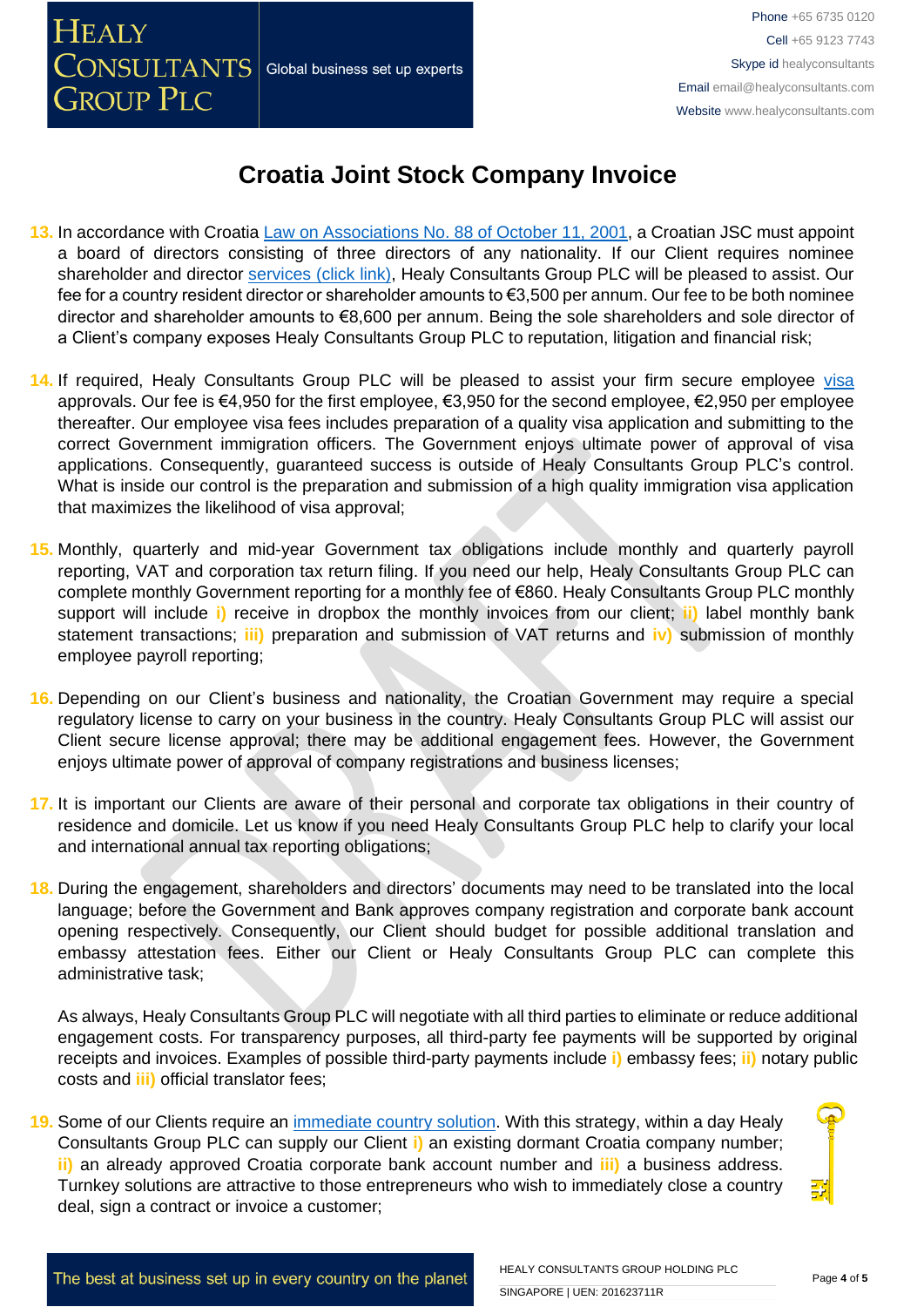- **13.** In accordance with Croatia [Law on Associations No. 88 of October 11, 2001,](http://www.legislationline.org/documents/action/popup/id/5882) a Croatian JSC must appoint a board of directors consisting of three directors of any nationality. If our Client requires nominee shareholder and director services [\(click link\),](http://www.healyconsultants.com/corporate-outsourcing-services/nominee-shareholders-directors/) Healy Consultants Group PLC will be pleased to assist. Our fee for a country resident director or shareholder amounts to €3,500 per annum. Our fee to be both nominee director and shareholder amounts to €8,600 per annum. Being the sole shareholders and sole director of a Client's company exposes Healy Consultants Group PLC to reputation, litigation and financial risk;
- 14. If required, Healy Consultants Group PLC will be pleased to assist your firm secure employee [visa](http://www.healyconsultants.com/croatia-company-registration/formation-support-services/) approvals. Our fee is €4,950 for the first employee, €3,950 for the second employee, €2,950 per employee thereafter. Our employee visa fees includes preparation of a quality visa application and submitting to the correct Government immigration officers. The Government enjoys ultimate power of approval of visa applications. Consequently, guaranteed success is outside of Healy Consultants Group PLC's control. What is inside our control is the preparation and submission of a high quality immigration visa application that maximizes the likelihood of visa approval;
- **15.** Monthly, quarterly and mid-year Government tax obligations include monthly and quarterly payroll reporting, VAT and corporation tax return filing. If you need our help, Healy Consultants Group PLC can complete monthly Government reporting for a monthly fee of €860. Healy Consultants Group PLC monthly support will include **i)** receive in dropbox the monthly invoices from our client; **ii)** label monthly bank statement transactions; **iii)** preparation and submission of VAT returns and **iv)** submission of monthly employee payroll reporting;
- **16.** Depending on our Client's business and nationality, the Croatian Government may require a special regulatory license to carry on your business in the country. Healy Consultants Group PLC will assist our Client secure license approval; there may be additional engagement fees. However, the Government enjoys ultimate power of approval of company registrations and business licenses;
- **17.** It is important our Clients are aware of their personal and corporate tax obligations in their country of residence and domicile. Let us know if you need Healy Consultants Group PLC help to clarify your local and international annual tax reporting obligations;
- **18.** During the engagement, shareholders and directors' documents may need to be translated into the local language; before the Government and Bank approves company registration and corporate bank account opening respectively. Consequently, our Client should budget for possible additional translation and embassy attestation fees. Either our Client or Healy Consultants Group PLC can complete this administrative task;

As always, Healy Consultants Group PLC will negotiate with all third parties to eliminate or reduce additional engagement costs. For transparency purposes, all third-party fee payments will be supported by original receipts and invoices. Examples of possible third-party payments include **i)** embassy fees; **ii)** notary public costs and **iii)** official translator fees;

**19.** Some of our Clients require an [immediate country solution.](http://www.healyconsultants.com/turnkey-solutions/) With this strategy, within a day Healy Consultants Group PLC can supply our Client **i)** an existing dormant Croatia company number; **ii)** an already approved Croatia corporate bank account number and **iii)** a business address. Turnkey solutions are attractive to those entrepreneurs who wish to immediately close a country deal, sign a contract or invoice a customer;



The best at business set up in every country on the planet